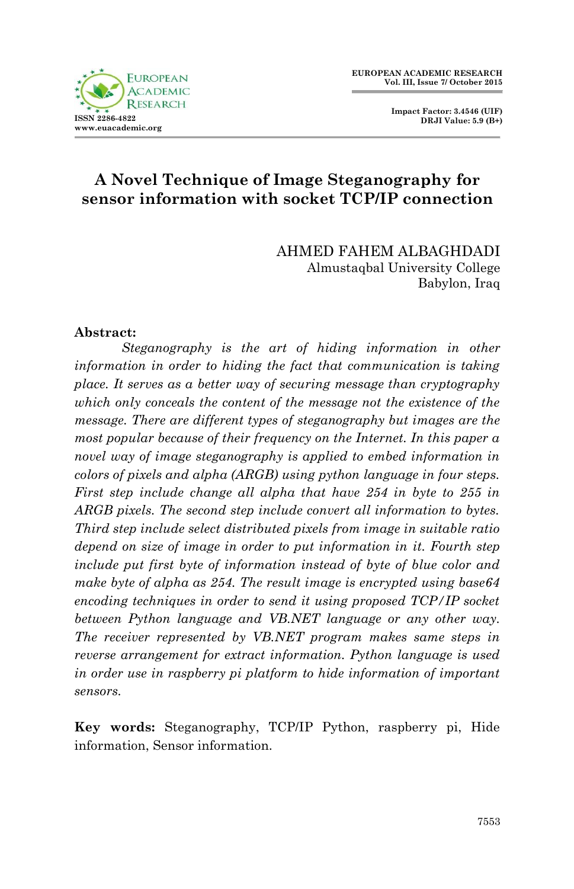



# **A Novel Technique of Image Steganography for sensor information with socket TCP/IP connection**

AHMED FAHEM ALBAGHDADI Almustaqbal University College Babylon, Iraq

#### **Abstract:**

*Steganography is the art of hiding information in other information in order to hiding the fact that communication is taking place. It serves as a better way of securing message than cryptography which only conceals the content of the message not the existence of the message. There are different types of steganography but images are the most popular because of their frequency on the Internet. In this paper a novel way of image steganography is applied to embed information in colors of pixels and alpha (ARGB) using python language in four steps. First step include change all alpha that have 254 in byte to 255 in ARGB pixels. The second step include convert all information to bytes. Third step include select distributed pixels from image in suitable ratio depend on size of image in order to put information in it. Fourth step include put first byte of information instead of byte of blue color and make byte of alpha as 254. The result image is encrypted using base64 encoding techniques in order to send it using proposed TCP/IP socket between Python language and VB.NET language or any other way. The receiver represented by VB.NET program makes same steps in reverse arrangement for extract information. Python language is used in order use in raspberry pi platform to hide information of important sensors.*

**Key words:** Steganography, TCP/IP Python, raspberry pi, Hide information, Sensor information.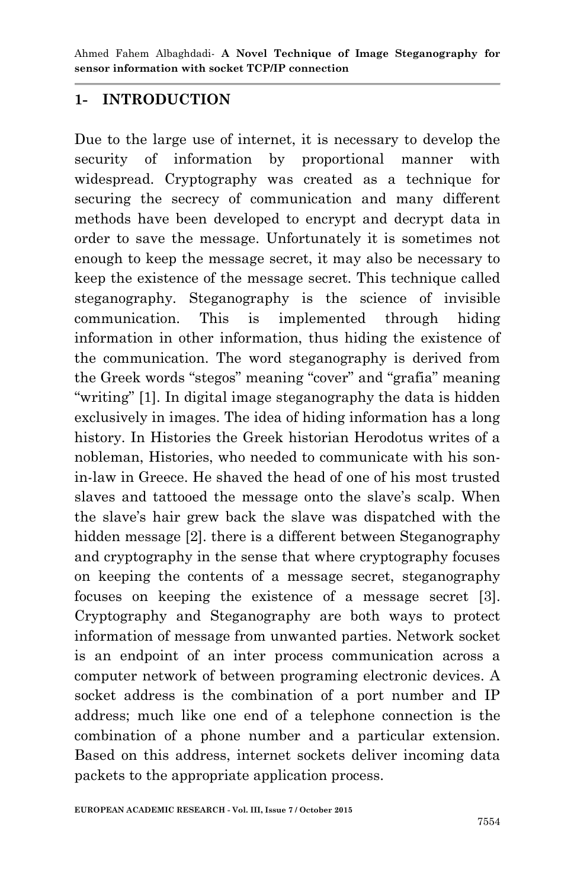### **1- INTRODUCTION**

Due to the large use of internet, it is necessary to develop the security of information by proportional manner with widespread. Cryptography was created as a technique for securing the secrecy of communication and many different methods have been developed to encrypt and decrypt data in order to save the message. Unfortunately it is sometimes not enough to keep the message secret, it may also be necessary to keep the existence of the message secret. This technique called steganography. Steganography is the science of invisible communication. This is implemented through hiding information in other information, thus hiding the existence of the communication. The word steganography is derived from the Greek words "stegos" meaning "cover" and "grafia" meaning "writing" [1]. In digital image steganography the data is hidden exclusively in images. The idea of hiding information has a long history. In Histories the Greek historian Herodotus writes of a nobleman, Histories, who needed to communicate with his sonin-law in Greece. He shaved the head of one of his most trusted slaves and tattooed the message onto the slave's scalp. When the slave's hair grew back the slave was dispatched with the hidden message [2]. there is a different between Steganography and cryptography in the sense that where cryptography focuses on keeping the contents of a message secret, steganography focuses on keeping the existence of a message secret [3]. Cryptography and Steganography are both ways to protect information of message from unwanted parties. Network socket is an endpoint of an inter process communication across a computer network of between programing electronic devices. A socket address is the combination of a port number and IP address; much like one end of a telephone connection is the combination of a phone number and a particular extension. Based on this address, internet sockets deliver incoming data packets to the appropriate application process.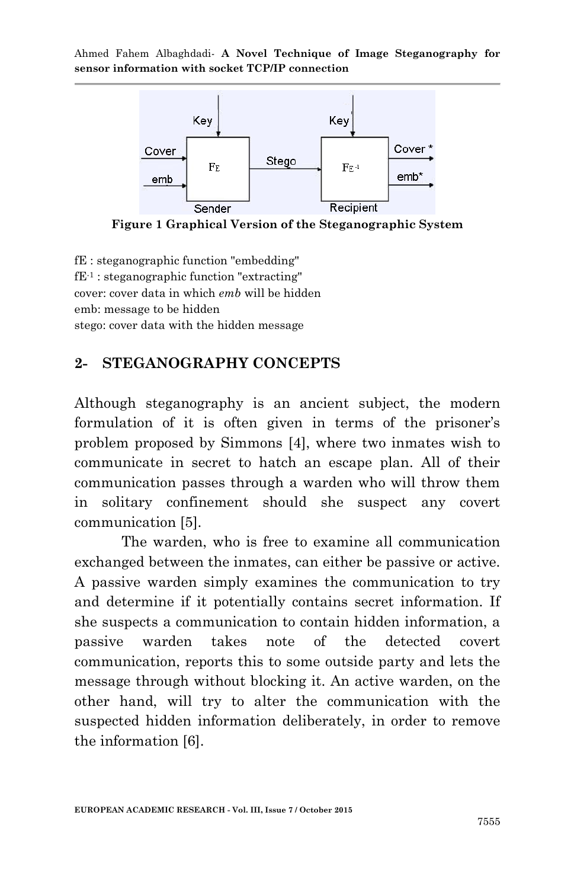

**Figure 1 Graphical Version of the Steganographic System**

fE : steganographic function "embedding" fE-1 : steganographic function "extracting" cover: cover data in which *emb* will be hidden emb: message to be hidden stego: cover data with the hidden message

#### **2- STEGANOGRAPHY CONCEPTS**

Although steganography is an ancient subject, the modern formulation of it is often given in terms of the prisoner's problem proposed by Simmons [4], where two inmates wish to communicate in secret to hatch an escape plan. All of their communication passes through a warden who will throw them in solitary confinement should she suspect any covert communication [5].

The warden, who is free to examine all communication exchanged between the inmates, can either be passive or active. A passive warden simply examines the communication to try and determine if it potentially contains secret information. If she suspects a communication to contain hidden information, a passive warden takes note of the detected covert communication, reports this to some outside party and lets the message through without blocking it. An active warden, on the other hand, will try to alter the communication with the suspected hidden information deliberately, in order to remove the information [6].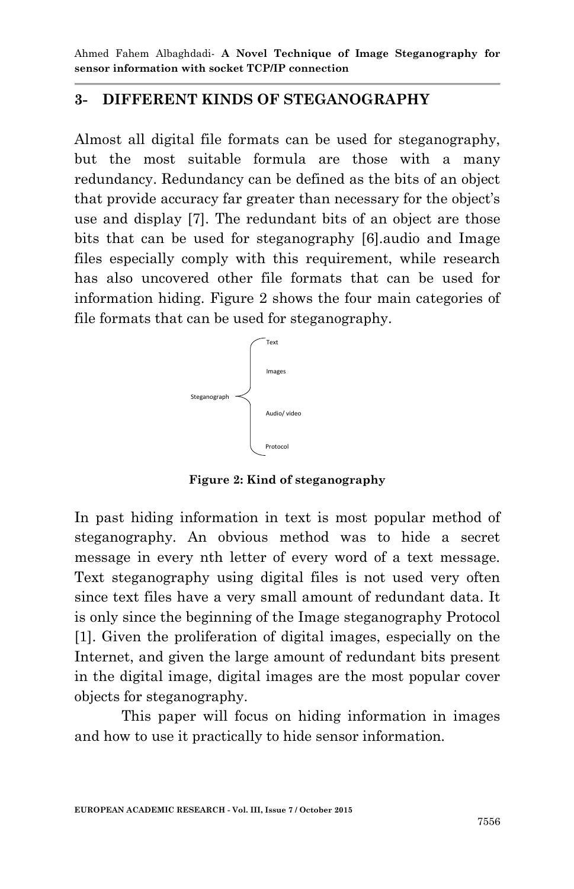### **3- DIFFERENT KINDS OF STEGANOGRAPHY**

Almost all digital file formats can be used for steganography, but the most suitable formula are those with a many redundancy. Redundancy can be defined as the bits of an object that provide accuracy far greater than necessary for the object's use and display [7]. The redundant bits of an object are those bits that can be used for steganography [6].audio and Image files especially comply with this requirement, while research has also uncovered other file formats that can be used for information hiding. Figure 2 shows the four main categories of file formats that can be used for steganography.



**Figure 2: Kind of steganography**

In past hiding information in text is most popular method of steganography. An obvious method was to hide a secret message in every nth letter of every word of a text message. Text steganography using digital files is not used very often since text files have a very small amount of redundant data. It is only since the beginning of the Image steganography Protocol [1]. Given the proliferation of digital images, especially on the Internet, and given the large amount of redundant bits present in the digital image, digital images are the most popular cover objects for steganography.

This paper will focus on hiding information in images and how to use it practically to hide sensor information.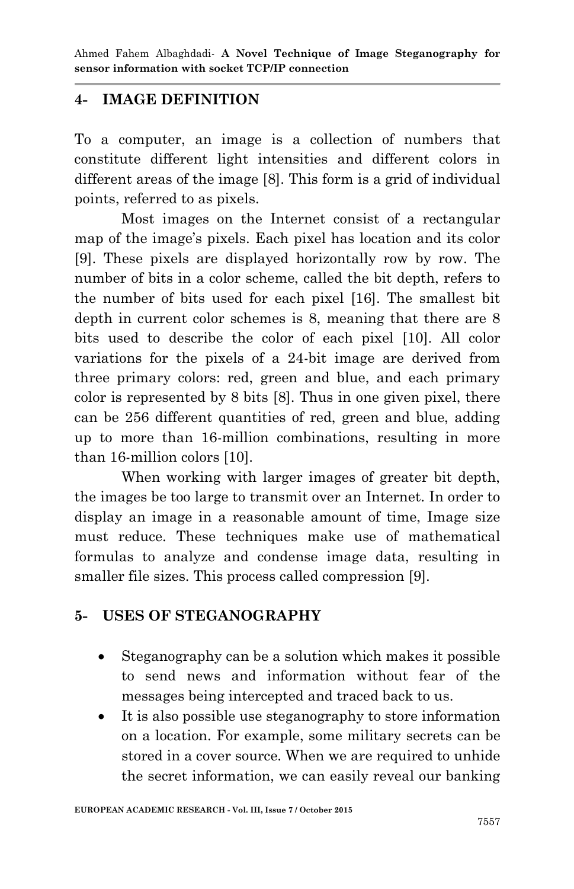### **4- IMAGE DEFINITION**

To a computer, an image is a collection of numbers that constitute different light intensities and different colors in different areas of the image [8]. This form is a grid of individual points, referred to as pixels.

Most images on the Internet consist of a rectangular map of the image's pixels. Each pixel has location and its color [9]. These pixels are displayed horizontally row by row. The number of bits in a color scheme, called the bit depth, refers to the number of bits used for each pixel [16]. The smallest bit depth in current color schemes is 8, meaning that there are 8 bits used to describe the color of each pixel [10]. All color variations for the pixels of a 24-bit image are derived from three primary colors: red, green and blue, and each primary color is represented by 8 bits [8]. Thus in one given pixel, there can be 256 different quantities of red, green and blue, adding up to more than 16-million combinations, resulting in more than 16-million colors [10].

When working with larger images of greater bit depth, the images be too large to transmit over an Internet. In order to display an image in a reasonable amount of time, Image size must reduce. These techniques make use of mathematical formulas to analyze and condense image data, resulting in smaller file sizes. This process called compression [9].

#### **5- USES OF STEGANOGRAPHY**

- Steganography can be a solution which makes it possible to send news and information without fear of the messages being intercepted and traced back to us.
- It is also possible use steganography to store information on a location. For example, some military secrets can be stored in a cover source. When we are required to unhide the secret information, we can easily reveal our banking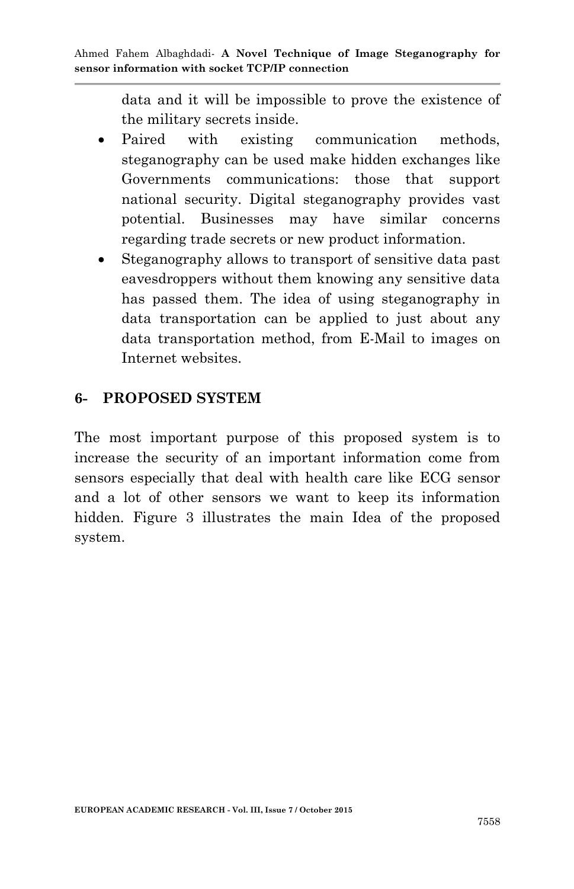data and it will be impossible to prove the existence of the military secrets inside.

- Paired with existing communication methods, steganography can be used make hidden exchanges like Governments communications: those that support national security. Digital steganography provides vast potential. Businesses may have similar concerns regarding trade secrets or new product information.
- Steganography allows to transport of sensitive data past eavesdroppers without them knowing any sensitive data has passed them. The idea of using steganography in data transportation can be applied to just about any data transportation method, from E-Mail to images on Internet websites.

## **6- PROPOSED SYSTEM**

The most important purpose of this proposed system is to increase the security of an important information come from sensors especially that deal with health care like ECG sensor and a lot of other sensors we want to keep its information hidden. Figure 3 illustrates the main Idea of the proposed system.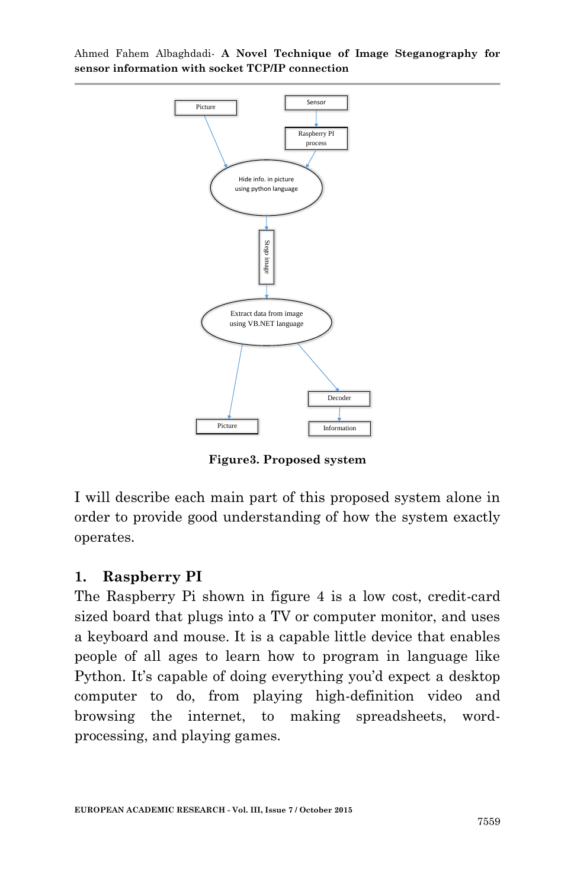

**Figure3. Proposed system**

I will describe each main part of this proposed system alone in order to provide good understanding of how the system exactly operates.

#### **1. Raspberry PI**

The Raspberry Pi shown in figure 4 is a low cost, credit-card sized board that plugs into a TV or computer monitor, and uses a keyboard and mouse. It is a capable little device that enables people of all ages to learn how to program in language like Python. It's capable of doing everything you'd expect a desktop computer to do, from playing high-definition video and browsing the internet, to making spreadsheets, wordprocessing, and playing games.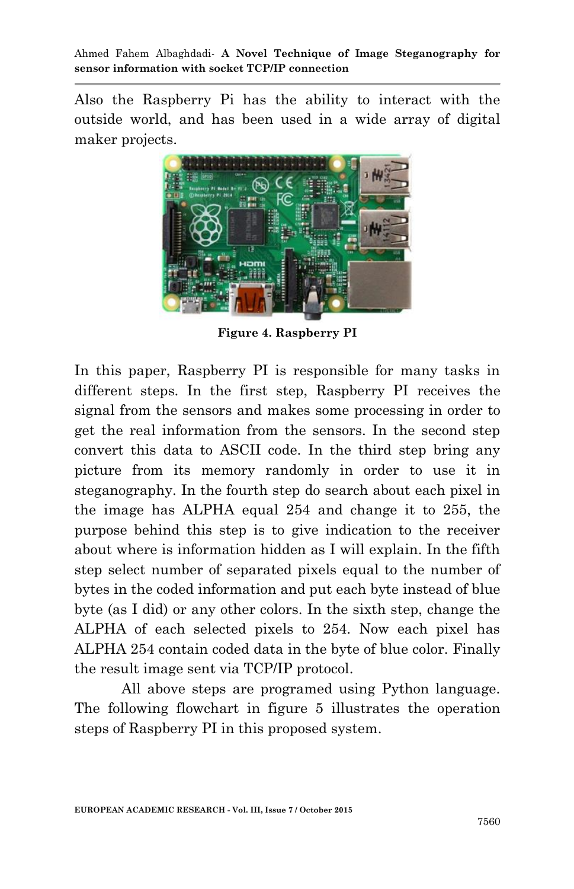Also the Raspberry Pi has the ability to interact with the outside world, and has been used in a wide array of digital maker projects.



**Figure 4. Raspberry PI**

In this paper, Raspberry PI is responsible for many tasks in different steps. In the first step, Raspberry PI receives the signal from the sensors and makes some processing in order to get the real information from the sensors. In the second step convert this data to ASCII code. In the third step bring any picture from its memory randomly in order to use it in steganography. In the fourth step do search about each pixel in the image has ALPHA equal 254 and change it to 255, the purpose behind this step is to give indication to the receiver about where is information hidden as I will explain. In the fifth step select number of separated pixels equal to the number of bytes in the coded information and put each byte instead of blue byte (as I did) or any other colors. In the sixth step, change the ALPHA of each selected pixels to 254. Now each pixel has ALPHA 254 contain coded data in the byte of blue color. Finally the result image sent via TCP/IP protocol.

All above steps are programed using Python language. The following flowchart in figure 5 illustrates the operation steps of Raspberry PI in this proposed system.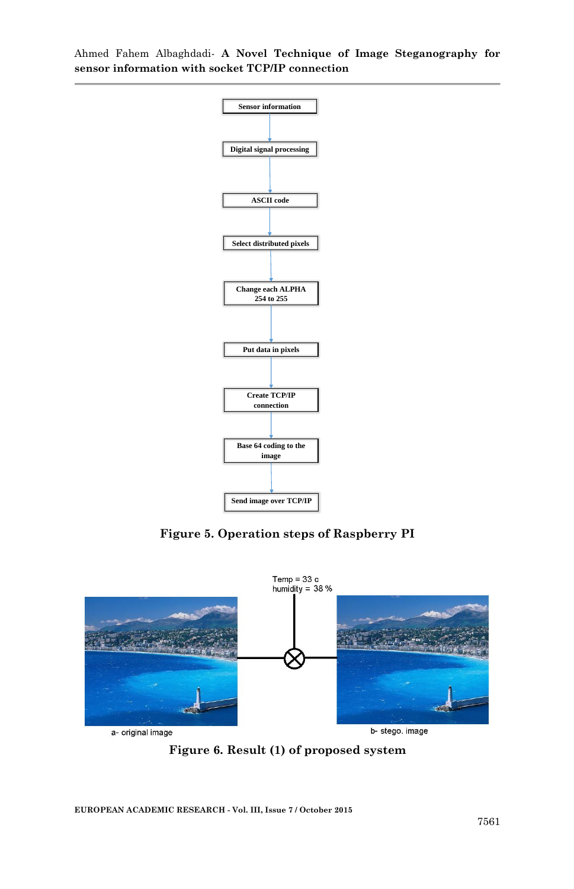

**Figure 5. Operation steps of Raspberry PI**



**Figure 6. Result (1) of proposed system**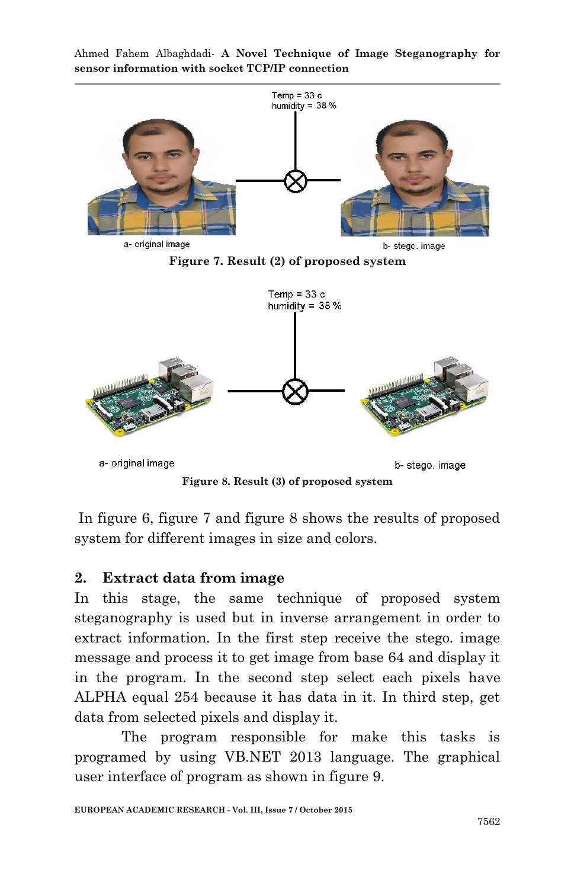

Ahmed Fahem Albaghdadi*-* **A Novel Technique of Image Steganography for sensor information with socket TCP/IP connection**

**Figure 8. Result (3) of proposed system**

In figure 6, figure 7 and figure 8 shows the results of proposed system for different images in size and colors.

# **2. Extract data from image**

In this stage, the same technique of proposed system steganography is used but in inverse arrangement in order to extract information. In the first step receive the stego. image message and process it to get image from base 64 and display it in the program. In the second step select each pixels have ALPHA equal 254 because it has data in it. In third step, get data from selected pixels and display it.

The program responsible for make this tasks is programed by using VB.NET 2013 language. The graphical user interface of program as shown in figure 9.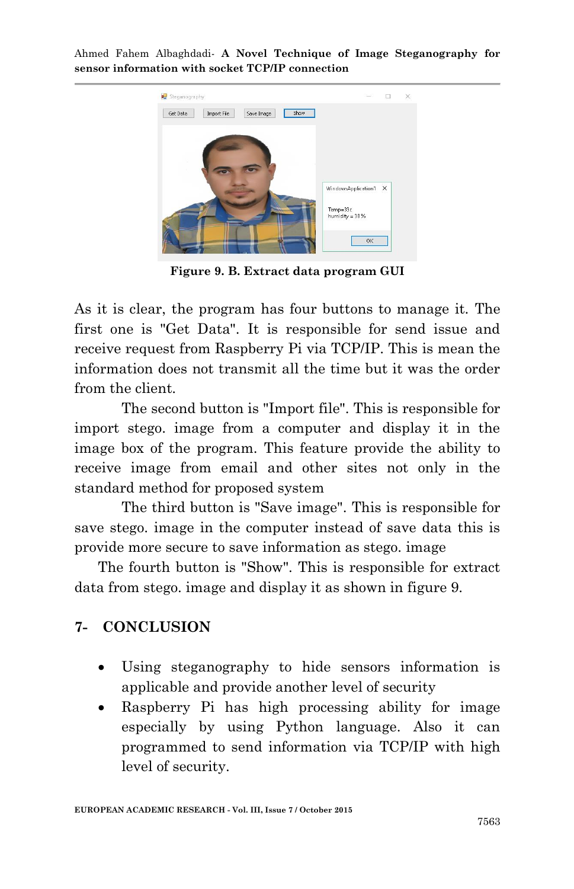

**Figure 9. B. Extract data program GUI**

As it is clear, the program has four buttons to manage it. The first one is "Get Data". It is responsible for send issue and receive request from Raspberry Pi via TCP/IP. This is mean the information does not transmit all the time but it was the order from the client.

The second button is "Import file". This is responsible for import stego. image from a computer and display it in the image box of the program. This feature provide the ability to receive image from email and other sites not only in the standard method for proposed system

The third button is "Save image". This is responsible for save stego. image in the computer instead of save data this is provide more secure to save information as stego. image

The fourth button is "Show". This is responsible for extract data from stego. image and display it as shown in figure 9.

### **7- CONCLUSION**

- Using steganography to hide sensors information is applicable and provide another level of security
- Raspberry Pi has high processing ability for image especially by using Python language. Also it can programmed to send information via TCP/IP with high level of security.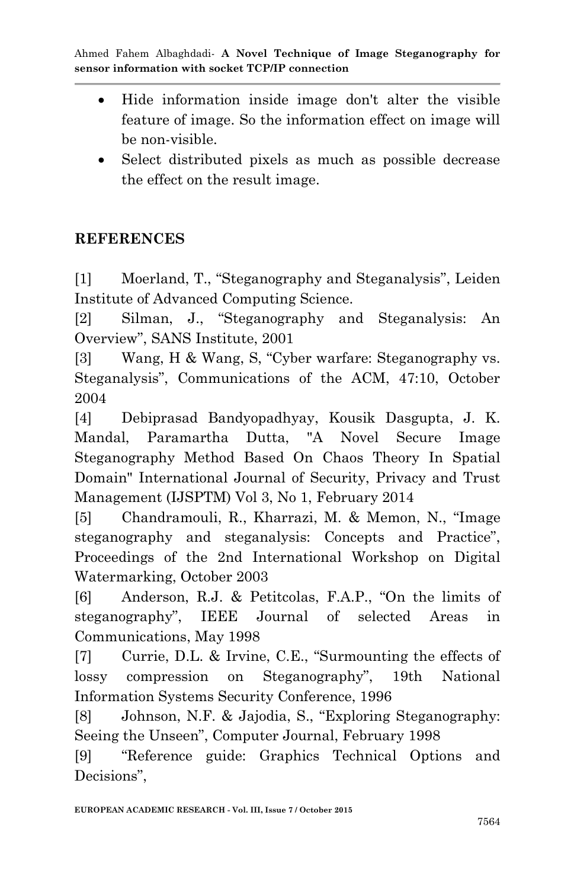- Hide information inside image don't alter the visible feature of image. So the information effect on image will be non-visible.
- Select distributed pixels as much as possible decrease the effect on the result image.

# **REFERENCES**

[1] Moerland, T., "Steganography and Steganalysis", Leiden Institute of Advanced Computing Science.

[2] Silman, J., "Steganography and Steganalysis: An Overview", SANS Institute, 2001

[3] Wang, H & Wang, S, "Cyber warfare: Steganography vs. Steganalysis", Communications of the ACM, 47:10, October 2004

[4] Debiprasad Bandyopadhyay, Kousik Dasgupta, J. K. Mandal, Paramartha Dutta, "A Novel Secure Image Steganography Method Based On Chaos Theory In Spatial Domain" International Journal of Security, Privacy and Trust Management (IJSPTM) Vol 3, No 1, February 2014

[5] Chandramouli, R., Kharrazi, M. & Memon, N., "Image steganography and steganalysis: Concepts and Practice", Proceedings of the 2nd International Workshop on Digital Watermarking, October 2003

[6] Anderson, R.J. & Petitcolas, F.A.P., "On the limits of steganography", IEEE Journal of selected Areas in Communications, May 1998

[7] Currie, D.L. & Irvine, C.E., "Surmounting the effects of lossy compression on Steganography", 19th National Information Systems Security Conference, 1996

[8] Johnson, N.F. & Jajodia, S., "Exploring Steganography: Seeing the Unseen", Computer Journal, February 1998

[9] "Reference guide: Graphics Technical Options and Decisions",